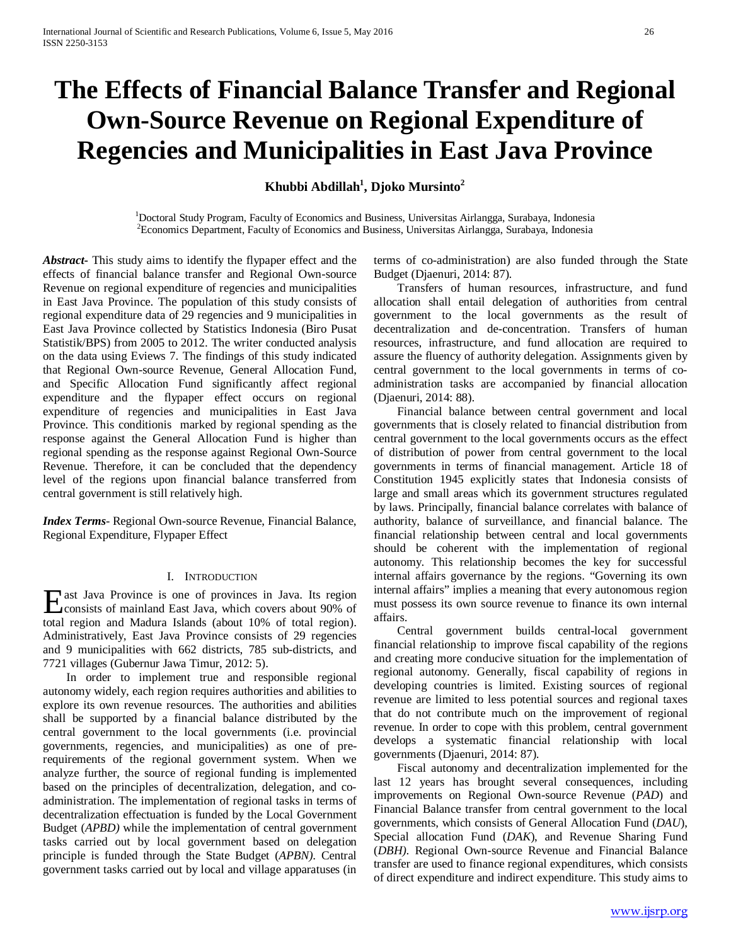# **The Effects of Financial Balance Transfer and Regional Own-Source Revenue on Regional Expenditure of Regencies and Municipalities in East Java Province**

**Khubbi Abdillah1 , Djoko Mursinto2**

<sup>1</sup>Doctoral Study Program, Faculty of Economics and Business, Universitas Airlangga, Surabaya, Indonesia<sup>2</sup>Economics Department, Faculty of Economics and Business, Universitas Airlangga, Surabaya, Indonesia Economics Department, Faculty of Economics and Business, Universitas Airlangga, Surabaya, Indonesia

*Abstract***-** This study aims to identify the flypaper effect and the effects of financial balance transfer and Regional Own-source Revenue on regional expenditure of regencies and municipalities in East Java Province. The population of this study consists of regional expenditure data of 29 regencies and 9 municipalities in East Java Province collected by Statistics Indonesia (Biro Pusat Statistik/BPS) from 2005 to 2012. The writer conducted analysis on the data using Eviews 7. The findings of this study indicated that Regional Own-source Revenue, General Allocation Fund, and Specific Allocation Fund significantly affect regional expenditure and the flypaper effect occurs on regional expenditure of regencies and municipalities in East Java Province. This conditionis marked by regional spending as the response against the General Allocation Fund is higher than regional spending as the response against Regional Own-Source Revenue. Therefore, it can be concluded that the dependency level of the regions upon financial balance transferred from central government is still relatively high.

*Index Terms*- Regional Own-source Revenue, Financial Balance, Regional Expenditure, Flypaper Effect

# I. INTRODUCTION

ast Java Province is one of provinces in Java. Its region Exact Java Province is one of provinces in Java. Its region<br>
consists of mainland East Java, which covers about 90% of total region and Madura Islands (about 10% of total region). Administratively, East Java Province consists of 29 regencies and 9 municipalities with 662 districts, 785 sub-districts, and 7721 villages (Gubernur Jawa Timur, 2012: 5).

 In order to implement true and responsible regional autonomy widely, each region requires authorities and abilities to explore its own revenue resources. The authorities and abilities shall be supported by a financial balance distributed by the central government to the local governments (i.e. provincial governments, regencies, and municipalities) as one of prerequirements of the regional government system. When we analyze further, the source of regional funding is implemented based on the principles of decentralization, delegation, and coadministration. The implementation of regional tasks in terms of decentralization effectuation is funded by the Local Government Budget (*APBD)* while the implementation of central government tasks carried out by local government based on delegation principle is funded through the State Budget (*APBN)*. Central government tasks carried out by local and village apparatuses (in terms of co-administration) are also funded through the State Budget (Djaenuri, 2014: 87).

 Transfers of human resources, infrastructure, and fund allocation shall entail delegation of authorities from central government to the local governments as the result of decentralization and de-concentration. Transfers of human resources, infrastructure, and fund allocation are required to assure the fluency of authority delegation. Assignments given by central government to the local governments in terms of coadministration tasks are accompanied by financial allocation (Djaenuri, 2014: 88).

 Financial balance between central government and local governments that is closely related to financial distribution from central government to the local governments occurs as the effect of distribution of power from central government to the local governments in terms of financial management. Article 18 of Constitution 1945 explicitly states that Indonesia consists of large and small areas which its government structures regulated by laws. Principally, financial balance correlates with balance of authority, balance of surveillance, and financial balance. The financial relationship between central and local governments should be coherent with the implementation of regional autonomy. This relationship becomes the key for successful internal affairs governance by the regions. "Governing its own internal affairs" implies a meaning that every autonomous region must possess its own source revenue to finance its own internal affairs.

 Central government builds central-local government financial relationship to improve fiscal capability of the regions and creating more conducive situation for the implementation of regional autonomy. Generally, fiscal capability of regions in developing countries is limited. Existing sources of regional revenue are limited to less potential sources and regional taxes that do not contribute much on the improvement of regional revenue. In order to cope with this problem, central government develops a systematic financial relationship with local governments (Djaenuri, 2014: 87).

 Fiscal autonomy and decentralization implemented for the last 12 years has brought several consequences, including improvements on Regional Own-source Revenue (*PAD*) and Financial Balance transfer from central government to the local governments, which consists of General Allocation Fund (*DAU*), Special allocation Fund (*DAK*), and Revenue Sharing Fund (*DBH)*. Regional Own-source Revenue and Financial Balance transfer are used to finance regional expenditures, which consists of direct expenditure and indirect expenditure. This study aims to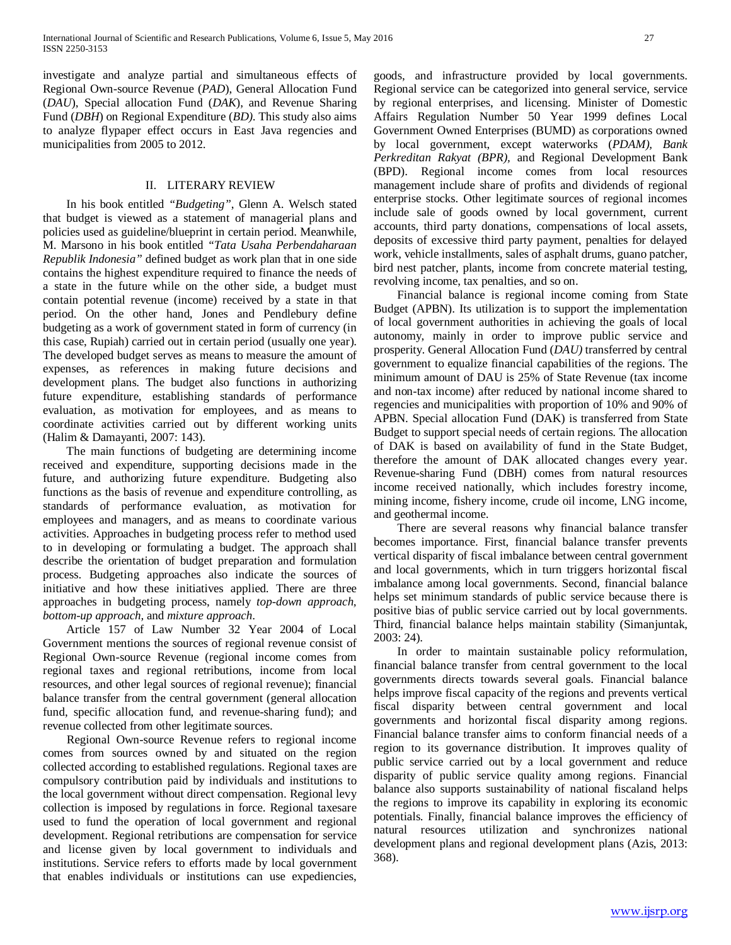investigate and analyze partial and simultaneous effects of Regional Own-source Revenue (*PAD*), General Allocation Fund (*DAU*), Special allocation Fund (*DAK*), and Revenue Sharing Fund (*DBH*) on Regional Expenditure (*BD)*. This study also aims to analyze flypaper effect occurs in East Java regencies and municipalities from 2005 to 2012.

# II. LITERARY REVIEW

 In his book entitled *"Budgeting"*, Glenn A. Welsch stated that budget is viewed as a statement of managerial plans and policies used as guideline/blueprint in certain period. Meanwhile, M. Marsono in his book entitled *"Tata Usaha Perbendaharaan Republik Indonesia"* defined budget as work plan that in one side contains the highest expenditure required to finance the needs of a state in the future while on the other side, a budget must contain potential revenue (income) received by a state in that period. On the other hand, Jones and Pendlebury define budgeting as a work of government stated in form of currency (in this case, Rupiah) carried out in certain period (usually one year). The developed budget serves as means to measure the amount of expenses, as references in making future decisions and development plans. The budget also functions in authorizing future expenditure, establishing standards of performance evaluation, as motivation for employees, and as means to coordinate activities carried out by different working units (Halim & Damayanti, 2007: 143).

 The main functions of budgeting are determining income received and expenditure, supporting decisions made in the future, and authorizing future expenditure. Budgeting also functions as the basis of revenue and expenditure controlling, as standards of performance evaluation, as motivation for employees and managers, and as means to coordinate various activities. Approaches in budgeting process refer to method used to in developing or formulating a budget. The approach shall describe the orientation of budget preparation and formulation process. Budgeting approaches also indicate the sources of initiative and how these initiatives applied. There are three approaches in budgeting process, namely *top-down approach, bottom-up approach,* and *mixture approach*.

 Article 157 of Law Number 32 Year 2004 of Local Government mentions the sources of regional revenue consist of Regional Own-source Revenue (regional income comes from regional taxes and regional retributions, income from local resources, and other legal sources of regional revenue); financial balance transfer from the central government (general allocation fund, specific allocation fund, and revenue-sharing fund); and revenue collected from other legitimate sources.

 Regional Own-source Revenue refers to regional income comes from sources owned by and situated on the region collected according to established regulations. Regional taxes are compulsory contribution paid by individuals and institutions to the local government without direct compensation. Regional levy collection is imposed by regulations in force. Regional taxesare used to fund the operation of local government and regional development. Regional retributions are compensation for service and license given by local government to individuals and institutions. Service refers to efforts made by local government that enables individuals or institutions can use expediencies, goods, and infrastructure provided by local governments. Regional service can be categorized into general service, service by regional enterprises, and licensing. Minister of Domestic Affairs Regulation Number 50 Year 1999 defines Local Government Owned Enterprises (BUMD) as corporations owned by local government, except waterworks (*PDAM), Bank Perkreditan Rakyat (BPR),* and Regional Development Bank (BPD). Regional income comes from local resources management include share of profits and dividends of regional enterprise stocks. Other legitimate sources of regional incomes include sale of goods owned by local government, current accounts, third party donations, compensations of local assets, deposits of excessive third party payment, penalties for delayed work, vehicle installments, sales of asphalt drums, guano patcher, bird nest patcher, plants, income from concrete material testing, revolving income, tax penalties, and so on.

 Financial balance is regional income coming from State Budget (APBN). Its utilization is to support the implementation of local government authorities in achieving the goals of local autonomy, mainly in order to improve public service and prosperity. General Allocation Fund (*DAU)* transferred by central government to equalize financial capabilities of the regions. The minimum amount of DAU is 25% of State Revenue (tax income and non-tax income) after reduced by national income shared to regencies and municipalities with proportion of 10% and 90% of APBN. Special allocation Fund (DAK) is transferred from State Budget to support special needs of certain regions. The allocation of DAK is based on availability of fund in the State Budget, therefore the amount of DAK allocated changes every year. Revenue-sharing Fund (DBH) comes from natural resources income received nationally, which includes forestry income, mining income, fishery income, crude oil income, LNG income, and geothermal income.

 There are several reasons why financial balance transfer becomes importance. First, financial balance transfer prevents vertical disparity of fiscal imbalance between central government and local governments, which in turn triggers horizontal fiscal imbalance among local governments. Second, financial balance helps set minimum standards of public service because there is positive bias of public service carried out by local governments. Third, financial balance helps maintain stability (Simanjuntak, 2003: 24).

 In order to maintain sustainable policy reformulation, financial balance transfer from central government to the local governments directs towards several goals. Financial balance helps improve fiscal capacity of the regions and prevents vertical fiscal disparity between central government and local governments and horizontal fiscal disparity among regions. Financial balance transfer aims to conform financial needs of a region to its governance distribution. It improves quality of public service carried out by a local government and reduce disparity of public service quality among regions. Financial balance also supports sustainability of national fiscaland helps the regions to improve its capability in exploring its economic potentials. Finally, financial balance improves the efficiency of natural resources utilization and synchronizes national development plans and regional development plans (Azis, 2013: 368).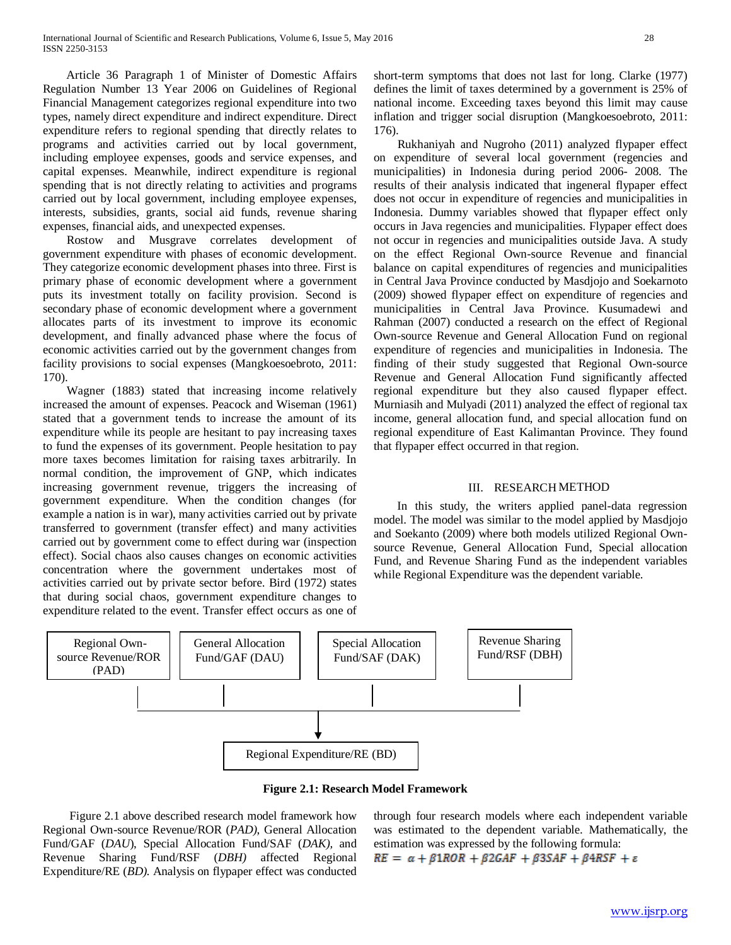Article 36 Paragraph 1 of Minister of Domestic Affairs Regulation Number 13 Year 2006 on Guidelines of Regional Financial Management categorizes regional expenditure into two types, namely direct expenditure and indirect expenditure. Direct expenditure refers to regional spending that directly relates to programs and activities carried out by local government, including employee expenses, goods and service expenses, and capital expenses. Meanwhile, indirect expenditure is regional spending that is not directly relating to activities and programs carried out by local government, including employee expenses, interests, subsidies, grants, social aid funds, revenue sharing expenses, financial aids, and unexpected expenses.

 Rostow and Musgrave correlates development of government expenditure with phases of economic development. They categorize economic development phases into three. First is primary phase of economic development where a government puts its investment totally on facility provision. Second is secondary phase of economic development where a government allocates parts of its investment to improve its economic development, and finally advanced phase where the focus of economic activities carried out by the government changes from facility provisions to social expenses (Mangkoesoebroto, 2011: 170).

 Wagner (1883) stated that increasing income relatively increased the amount of expenses. Peacock and Wiseman (1961) stated that a government tends to increase the amount of its expenditure while its people are hesitant to pay increasing taxes to fund the expenses of its government. People hesitation to pay more taxes becomes limitation for raising taxes arbitrarily. In normal condition, the improvement of GNP, which indicates increasing government revenue, triggers the increasing of government expenditure. When the condition changes (for example a nation is in war), many activities carried out by private transferred to government (transfer effect) and many activities carried out by government come to effect during war (inspection effect). Social chaos also causes changes on economic activities concentration where the government undertakes most of activities carried out by private sector before. Bird (1972) states that during social chaos, government expenditure changes to expenditure related to the event. Transfer effect occurs as one of short-term symptoms that does not last for long. Clarke (1977) defines the limit of taxes determined by a government is 25% of national income. Exceeding taxes beyond this limit may cause inflation and trigger social disruption (Mangkoesoebroto, 2011: 176).

 Rukhaniyah and Nugroho (2011) analyzed flypaper effect on expenditure of several local government (regencies and municipalities) in Indonesia during period 2006- 2008. The results of their analysis indicated that ingeneral flypaper effect does not occur in expenditure of regencies and municipalities in Indonesia. Dummy variables showed that flypaper effect only occurs in Java regencies and municipalities. Flypaper effect does not occur in regencies and municipalities outside Java. A study on the effect Regional Own-source Revenue and financial balance on capital expenditures of regencies and municipalities in Central Java Province conducted by Masdjojo and Soekarnoto (2009) showed flypaper effect on expenditure of regencies and municipalities in Central Java Province. Kusumadewi and Rahman (2007) conducted a research on the effect of Regional Own-source Revenue and General Allocation Fund on regional expenditure of regencies and municipalities in Indonesia. The finding of their study suggested that Regional Own-source Revenue and General Allocation Fund significantly affected regional expenditure but they also caused flypaper effect. Murniasih and Mulyadi (2011) analyzed the effect of regional tax income, general allocation fund, and special allocation fund on regional expenditure of East Kalimantan Province. They found that flypaper effect occurred in that region.

#### III. RESEARCH METHOD

 In this study, the writers applied panel-data regression model. The model was similar to the model applied by Masdjojo and Soekanto (2009) where both models utilized Regional Ownsource Revenue, General Allocation Fund, Special allocation Fund, and Revenue Sharing Fund as the independent variables while Regional Expenditure was the dependent variable.



**Figure 2.1: Research Model Framework**

 Figure 2.1 above described research model framework how Regional Own-source Revenue/ROR (*PAD)*, General Allocation Fund/GAF (*DAU*), Special Allocation Fund/SAF (*DAK),* and Revenue Sharing Fund/RSF (*DBH)* affected Regional Expenditure/RE (*BD).* Analysis on flypaper effect was conducted

through four research models where each independent variable was estimated to the dependent variable. Mathematically, the estimation was expressed by the following formula:

 $RE = \alpha + \beta 1 ROR + \beta 2GAF + \beta 3SAF + \beta 4RSF + \varepsilon$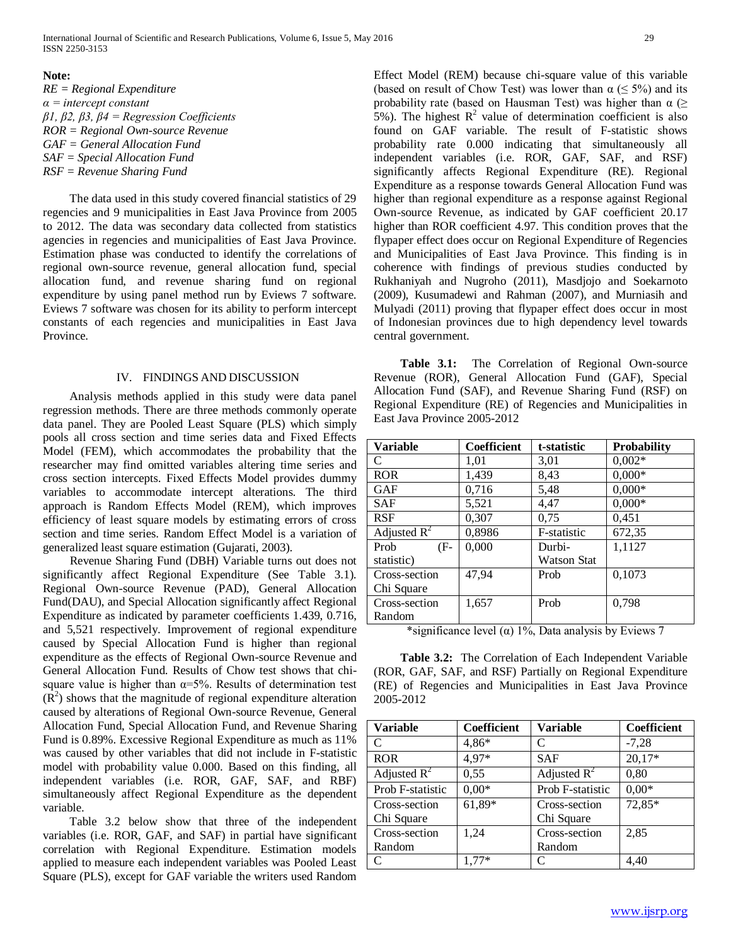# **Note:**

*RE = Regional Expenditure α = intercept constant β1, β2, β3, β4 = Regression Coefficients ROR = Regional Own-source Revenue GAF = General Allocation Fund SAF = Special Allocation Fund RSF = Revenue Sharing Fund*

 The data used in this study covered financial statistics of 29 regencies and 9 municipalities in East Java Province from 2005 to 2012. The data was secondary data collected from statistics agencies in regencies and municipalities of East Java Province. Estimation phase was conducted to identify the correlations of regional own-source revenue, general allocation fund, special allocation fund, and revenue sharing fund on regional expenditure by using panel method run by Eviews 7 software. Eviews 7 software was chosen for its ability to perform intercept constants of each regencies and municipalities in East Java Province.

## IV. FINDINGS AND DISCUSSION

 Analysis methods applied in this study were data panel regression methods. There are three methods commonly operate data panel. They are Pooled Least Square (PLS) which simply pools all cross section and time series data and Fixed Effects Model (FEM), which accommodates the probability that the researcher may find omitted variables altering time series and cross section intercepts. Fixed Effects Model provides dummy variables to accommodate intercept alterations. The third approach is Random Effects Model (REM), which improves efficiency of least square models by estimating errors of cross section and time series. Random Effect Model is a variation of generalized least square estimation (Gujarati, 2003).

 Revenue Sharing Fund (DBH) Variable turns out does not significantly affect Regional Expenditure (See Table 3.1). Regional Own-source Revenue (PAD), General Allocation Fund(DAU), and Special Allocation significantly affect Regional Expenditure as indicated by parameter coefficients 1.439, 0.716, and 5,521 respectively. Improvement of regional expenditure caused by Special Allocation Fund is higher than regional expenditure as the effects of Regional Own-source Revenue and General Allocation Fund. Results of Chow test shows that chisquare value is higher than  $\alpha = 5\%$ . Results of determination test  $(R<sup>2</sup>)$  shows that the magnitude of regional expenditure alteration caused by alterations of Regional Own-source Revenue, General Allocation Fund, Special Allocation Fund, and Revenue Sharing Fund is 0.89%. Excessive Regional Expenditure as much as 11% was caused by other variables that did not include in F-statistic model with probability value 0.000. Based on this finding, all independent variables (i.e. ROR, GAF, SAF, and RBF) simultaneously affect Regional Expenditure as the dependent variable.

 Table 3.2 below show that three of the independent variables (i.e. ROR, GAF, and SAF) in partial have significant correlation with Regional Expenditure. Estimation models applied to measure each independent variables was Pooled Least Square (PLS), except for GAF variable the writers used Random

Effect Model (REM) because chi-square value of this variable (based on result of Chow Test) was lower than  $\alpha$  ( $\leq$  5%) and its probability rate (based on Hausman Test) was higher than  $\alpha$  ( $\geq$ 5%). The highest  $R^2$  value of determination coefficient is also found on GAF variable. The result of F-statistic shows probability rate 0.000 indicating that simultaneously all independent variables (i.e. ROR, GAF, SAF, and RSF) significantly affects Regional Expenditure (RE). Regional Expenditure as a response towards General Allocation Fund was higher than regional expenditure as a response against Regional Own-source Revenue, as indicated by GAF coefficient 20.17 higher than ROR coefficient 4.97. This condition proves that the flypaper effect does occur on Regional Expenditure of Regencies and Municipalities of East Java Province. This finding is in coherence with findings of previous studies conducted by Rukhaniyah and Nugroho (2011), Masdjojo and Soekarnoto (2009), Kusumadewi and Rahman (2007), and Murniasih and Mulyadi (2011) proving that flypaper effect does occur in most of Indonesian provinces due to high dependency level towards central government.

 **Table 3.1:** The Correlation of Regional Own-source Revenue (ROR), General Allocation Fund (GAF), Special Allocation Fund (SAF), and Revenue Sharing Fund (RSF) on Regional Expenditure (RE) of Regencies and Municipalities in East Java Province 2005-2012

| <b>Variable</b> | <b>Coefficient</b> | t-statistic        | <b>Probability</b> |
|-----------------|--------------------|--------------------|--------------------|
| C               | 1,01               | 3.01               | $0,002*$           |
| <b>ROR</b>      | 1,439              | 8,43               | $0,000*$           |
| <b>GAF</b>      | 0,716              | 5,48               | $0,000*$           |
| <b>SAF</b>      | 5,521              | 4,47               | $0,000*$           |
| <b>RSF</b>      | 0,307              | 0,75               | 0,451              |
| Adjusted $R^2$  | 0,8986             | F-statistic        | 672,35             |
| Prob<br>(F-     | 0,000              | Durbi-             | 1,1127             |
| statistic)      |                    | <b>Watson Stat</b> |                    |
| Cross-section   | 47,94              | Prob               | 0,1073             |
| Chi Square      |                    |                    |                    |
| Cross-section   | 1,657              | Prob               | 0,798              |
| Random          |                    |                    |                    |

\*significance level ( $\alpha$ ) 1%, Data analysis by Eviews 7

 **Table 3.2:** The Correlation of Each Independent Variable (ROR, GAF, SAF, and RSF) Partially on Regional Expenditure (RE) of Regencies and Municipalities in East Java Province 2005-2012

| <b>Variable</b>  | Coefficient | <b>Variable</b>           | Coefficient |
|------------------|-------------|---------------------------|-------------|
| C                | $4,86*$     | C                         | $-7,28$     |
| <b>ROR</b>       | 4,97*       | <b>SAF</b>                | $20,17*$    |
| Adjusted $R^2$   | 0,55        | Adjusted $\overline{R}^2$ | 0,80        |
| Prob F-statistic | $0,00*$     | Prob F-statistic          | $0,00*$     |
| Cross-section    | $61,89*$    | Cross-section             | 72,85*      |
| Chi Square       |             | Chi Square                |             |
| Cross-section    | 1,24        | Cross-section             | 2,85        |
| Random           |             | Random                    |             |
| C                | $1.77*$     | C                         | 4.40        |